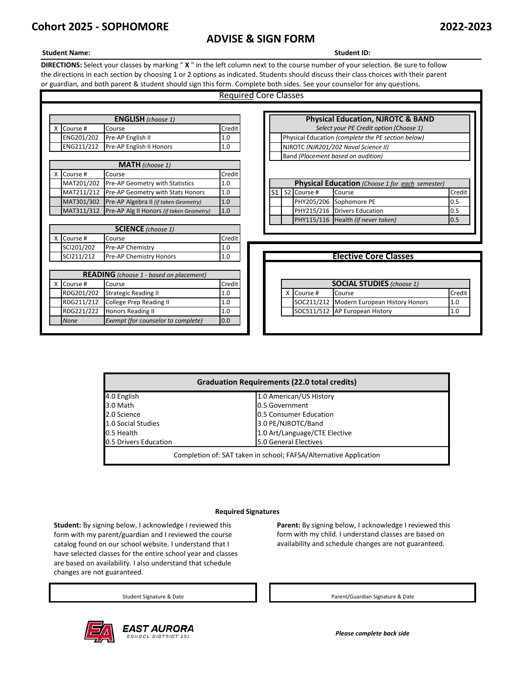# **Cohort 2025 - SOPHOMORE 2022-2023**

## **ADVISE & SIGN FORM**

#### **Student Name: Student ID:**

**DIRECTIONS:** Select your classes by marking " **X** " in the left column next to the course number of your selection. Be sure to follow the directions in each section by choosing 1 or 2 options as indicated. Students should discuss their class choices with their parent or guardian, and both parent & student should sign this form. Complete both sides. See your counselor for any questions.

|          |                                              |                                                     |        | <b>Required Core Classes</b>                       |                                                        |                                         |             |                                    |        |  |
|----------|----------------------------------------------|-----------------------------------------------------|--------|----------------------------------------------------|--------------------------------------------------------|-----------------------------------------|-------------|------------------------------------|--------|--|
|          |                                              |                                                     |        |                                                    |                                                        |                                         |             |                                    |        |  |
|          | <b>ENGLISH</b> (choose 1)                    |                                                     |        | <b>Physical Education, NJROTC &amp; BAND</b>       |                                                        |                                         |             |                                    |        |  |
| $\times$ | Course #                                     | Course                                              | Credit |                                                    |                                                        | Select your PE Credit option (Choose 1) |             |                                    |        |  |
|          | ENG201/202                                   | Pre-AP English II                                   | 1.0    | Physical Education (complete the PE section below) |                                                        |                                         |             |                                    |        |  |
|          | ENG211/212                                   | Pre-AP English II Honors                            | 1.0    |                                                    | NJROTC (NJR201/202 Naval Science II)                   |                                         |             |                                    |        |  |
|          |                                              |                                                     |        |                                                    |                                                        |                                         |             | Band (Placement based on audition) |        |  |
|          |                                              | <b>MATH</b> (choose 1)                              |        |                                                    |                                                        |                                         |             |                                    |        |  |
| <b>X</b> | Course #                                     | Course                                              | Credit |                                                    |                                                        |                                         |             |                                    |        |  |
|          | MAT201/202                                   | Pre-AP Geometry with Statistics                     | 1.0    |                                                    | <b>Physical Education</b> (Choose 1 for each semester) |                                         |             |                                    |        |  |
|          |                                              | MAT211/212 Pre-AP Geometry with Stats Honors        | 1.0    |                                                    | S <sub>1</sub>                                         |                                         | S2 Course # | Course                             | Credit |  |
|          |                                              | MAT301/302 Pre-AP Algebra II (if taken Geometry)    | 1.0    |                                                    |                                                        |                                         |             | PHY205/206 Sophomore PE            | 0.5    |  |
|          |                                              | MAT311/312 Pre-AP Alg II Honors (if taken Geometry) | 1.0    |                                                    |                                                        |                                         |             | PHY215/216 Drivers Education       | 0.5    |  |
|          |                                              |                                                     |        |                                                    |                                                        |                                         |             | PHY115/116 Health (if never taken) | 0.5    |  |
|          |                                              | <b>SCIENCE</b> (choose 1)                           |        |                                                    |                                                        |                                         |             |                                    |        |  |
| x        | Course #                                     | Course                                              | Credit |                                                    |                                                        |                                         |             |                                    |        |  |
|          | SCI201/202                                   | Pre-AP Chemistry                                    | 1.0    |                                                    |                                                        |                                         |             |                                    |        |  |
|          | SCI211/212<br>Pre-AP Chemistry Honors<br>1.0 |                                                     |        |                                                    | <b>Elective Core Classes</b>                           |                                         |             |                                    |        |  |
|          |                                              |                                                     |        |                                                    |                                                        |                                         |             |                                    |        |  |
|          |                                              | <b>READING</b> (choose 1 - based on placement)      |        |                                                    |                                                        |                                         |             |                                    |        |  |
| X.       | Course #                                     | Course                                              | Credit |                                                    |                                                        |                                         |             | <b>SOCIAL STUDIES</b> (choose 1)   |        |  |
|          | RDG201/202                                   | <b>Strategic Reading II</b>                         | 1.0    |                                                    |                                                        |                                         | X Course #  | Course                             | Credit |  |
|          | RDG211/212                                   | <b>College Prep Reading II</b>                      | 1.0    |                                                    |                                                        |                                         | SOC211/212  | Modern European History Honors     | 1.0    |  |
|          | RDG221/222                                   | Honors Reading II                                   | 1.0    |                                                    |                                                        |                                         | SOC511/512  | AP European History                | 1.0    |  |
|          | <b>None</b>                                  | Exempt (for counselor to complete)                  | 0.0    |                                                    |                                                        |                                         |             |                                    |        |  |
|          |                                              |                                                     |        |                                                    |                                                        |                                         |             |                                    |        |  |

| <b>Graduation Requirements (22.0 total credits)</b>               |                               |  |  |  |  |
|-------------------------------------------------------------------|-------------------------------|--|--|--|--|
| 4.0 English                                                       | 1.0 American/US History       |  |  |  |  |
| 3.0 Math                                                          | 0.5 Government                |  |  |  |  |
| 2.0 Science                                                       | 0.5 Consumer Education        |  |  |  |  |
| 1.0 Social Studies                                                | 3.0 PE/NJROTC/Band            |  |  |  |  |
| 0.5 Health                                                        | 1.0 Art/Language/CTE Elective |  |  |  |  |
| 0.5 Drivers Education                                             | 5.0 General Electives         |  |  |  |  |
| Completion of: SAT taken in school; FAFSA/Alternative Application |                               |  |  |  |  |

#### **Required Signatures**

**Student:** By signing below, I acknowledge I reviewed this form with my parent/guardian and I reviewed the course catalog found on our school website. I understand that I have selected classes for the entire school year and classes are based on availability. I also understand that schedule changes are not guaranteed.



Parent: By signing below, I acknowledge I reviewed this form with my child. I understand classes are based on availability and schedule changes are not guaranteed.

Student Signature & Date **Parent/Guardian Signature & Date** Parent/Guardian Signature & Date